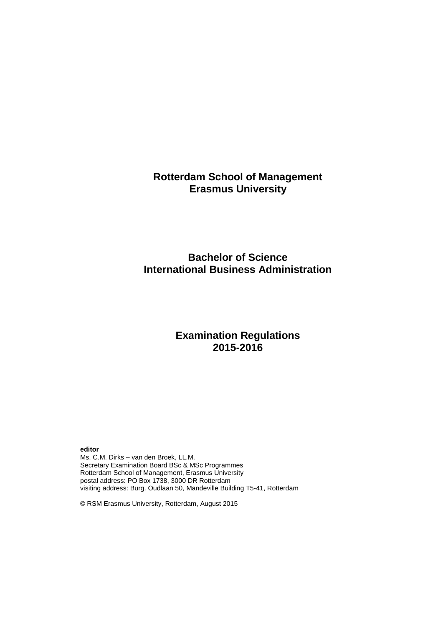# **Rotterdam School of Management Erasmus University**

# **Bachelor of Science International Business Administration**

# **Examination Regulations 2015-2016**

**editor**

Ms. C.M. Dirks – van den Broek, LL.M. Secretary Examination Board BSc & MSc Programmes Rotterdam School of Management, Erasmus University postal address: PO Box 1738, 3000 DR Rotterdam visiting address: Burg. Oudlaan 50, Mandeville Building T5-41, Rotterdam

© RSM Erasmus University, Rotterdam, August 2015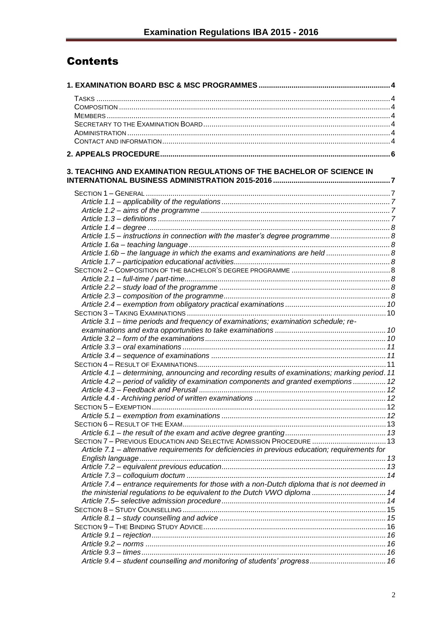# **Contents**

| 3. TEACHING AND EXAMINATION REGULATIONS OF THE BACHELOR OF SCIENCE IN                           |  |
|-------------------------------------------------------------------------------------------------|--|
|                                                                                                 |  |
|                                                                                                 |  |
|                                                                                                 |  |
|                                                                                                 |  |
|                                                                                                 |  |
| Article 1.5 - instructions in connection with the master's degree programme 8                   |  |
|                                                                                                 |  |
| Article 1.6b - the language in which the exams and examinations are held  8                     |  |
|                                                                                                 |  |
|                                                                                                 |  |
|                                                                                                 |  |
|                                                                                                 |  |
|                                                                                                 |  |
|                                                                                                 |  |
|                                                                                                 |  |
|                                                                                                 |  |
| Article 3.1 - time periods and frequency of examinations; examination schedule; re-             |  |
|                                                                                                 |  |
|                                                                                                 |  |
|                                                                                                 |  |
|                                                                                                 |  |
|                                                                                                 |  |
| Article 4.1 – determining, announcing and recording results of examinations; marking period. 11 |  |
| Article 4.2 - period of validity of examination components and granted exemptions  12           |  |
|                                                                                                 |  |
|                                                                                                 |  |
|                                                                                                 |  |
|                                                                                                 |  |
|                                                                                                 |  |
|                                                                                                 |  |
| SECTION 7 - PREVIOUS EDUCATION AND SELECTIVE ADMISSION PROCEDURE  13                            |  |
| Article 7.1 - alternative requirements for deficiencies in previous education; requirements for |  |
|                                                                                                 |  |
|                                                                                                 |  |
|                                                                                                 |  |
| Article 7.4 – entrance requirements for those with a non-Dutch diploma that is not deemed in    |  |
| the ministerial regulations to be equivalent to the Dutch VWO diploma  14                       |  |
|                                                                                                 |  |
|                                                                                                 |  |
|                                                                                                 |  |
|                                                                                                 |  |
|                                                                                                 |  |
|                                                                                                 |  |
|                                                                                                 |  |
|                                                                                                 |  |
|                                                                                                 |  |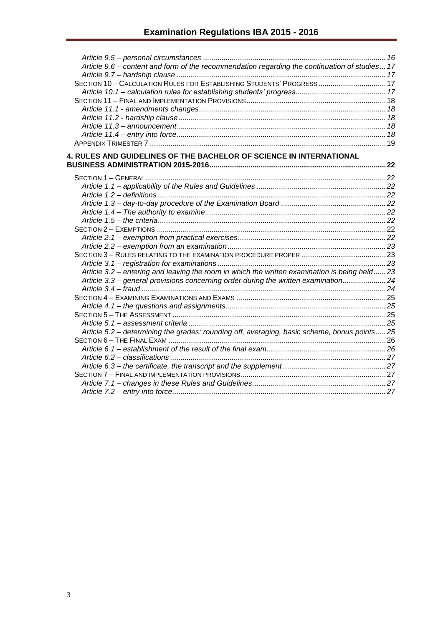| Article 9.6 - content and form of the recommendation regarding the continuation of studies 17 |  |
|-----------------------------------------------------------------------------------------------|--|
|                                                                                               |  |
| SECTION 10 - CALCULATION RULES FOR ESTABLISHING STUDENTS' PROGRESS17                          |  |
|                                                                                               |  |
|                                                                                               |  |
|                                                                                               |  |
|                                                                                               |  |
|                                                                                               |  |
|                                                                                               |  |
|                                                                                               |  |
| 4. RULES AND GUIDELINES OF THE BACHELOR OF SCIENCE IN INTERNATIONAL                           |  |
|                                                                                               |  |
|                                                                                               |  |
|                                                                                               |  |
|                                                                                               |  |
|                                                                                               |  |
|                                                                                               |  |
|                                                                                               |  |
|                                                                                               |  |
|                                                                                               |  |
|                                                                                               |  |
|                                                                                               |  |
|                                                                                               |  |
| Article 3.2 – entering and leaving the room in which the written examination is being held23  |  |
| Article 3.3 - general provisions concerning order during the written examination24            |  |
|                                                                                               |  |
|                                                                                               |  |
|                                                                                               |  |
|                                                                                               |  |
|                                                                                               |  |
| Article 5.2 - determining the grades: rounding off, averaging, basic scheme, bonus points25   |  |
|                                                                                               |  |
|                                                                                               |  |
|                                                                                               |  |
|                                                                                               |  |
|                                                                                               |  |
|                                                                                               |  |
|                                                                                               |  |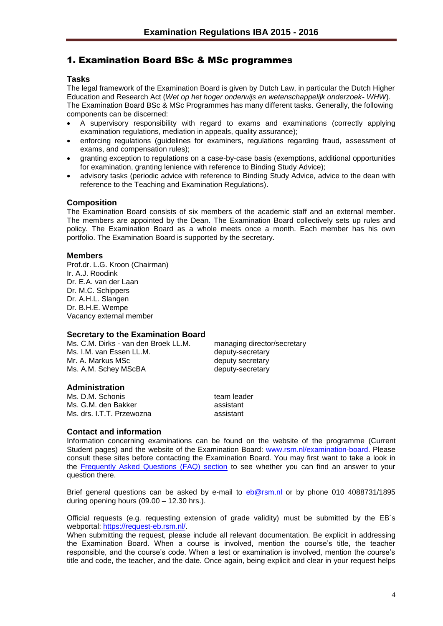## <span id="page-3-0"></span>1. Examination Board BSc & MSc programmes

#### <span id="page-3-1"></span>**Tasks**

The legal framework of the Examination Board is given by Dutch Law, in particular the Dutch Higher Education and Research Act (*Wet op het hoger onderwijs en wetenschappelijk onderzoek- WHW*). The Examination Board BSc & MSc Programmes has many different tasks. Generally, the following components can be discerned:

- A supervisory responsibility with regard to exams and examinations (correctly applying examination regulations, mediation in appeals, quality assurance);
- enforcing regulations (guidelines for examiners, regulations regarding fraud, assessment of exams, and compensation rules);
- granting exception to regulations on a case-by-case basis (exemptions, additional opportunities for examination, granting lenience with reference to Binding Study Advice);
- advisory tasks (periodic advice with reference to Binding Study Advice, advice to the dean with reference to the Teaching and Examination Regulations).

#### <span id="page-3-2"></span>**Composition**

The Examination Board consists of six members of the academic staff and an external member. The members are appointed by the Dean. The Examination Board collectively sets up rules and policy. The Examination Board as a whole meets once a month. Each member has his own portfolio. The Examination Board is supported by the secretary.

#### <span id="page-3-3"></span>**Members**

Prof.dr. L.G. Kroon (Chairman) Ir. A.J. Roodink Dr. E.A. van der Laan Dr. M.C. Schippers Dr. A.H.L. Slangen Dr. B.H.E. Wempe Vacancy external member

#### <span id="page-3-4"></span>**Secretary to the Examination Board**

Ms. C.M. Dirks - van den Broek LL.M. managing director/secretary Ms. I.M. van Essen LL.M. The Controller of deputy-secretary Mr. A. Markus MSc between the deputy secretary Ms. A.M. Schey MScBA deputy-secretary

<span id="page-3-5"></span>**Administration**

Ms. D.M. Schonis team leader Ms. G.M. den Bakker assistant Ms. drs. I.T.T. Przewozna assistant

#### <span id="page-3-6"></span>**Contact and information**

Information concerning examinations can be found on the website of the programme (Current Student pages) and the website of the Examination Board: [www.rsm.nl/examination-board.](http://www.rsm.nl/examination-board) Please consult these sites before contacting the Examination Board. You may first want to take a look in the [Frequently Asked Questions \(FAQ\) section](http://www.rsm.nl/examination-board/frequently-asked-questions-faqs/) to see whether you can find an answer to your question there.

Brief general questions can be asked by e-mail to [eb@rsm.nl](mailto:eb@rsm.nl) or by phone 010 4088731/1895 during opening hours (09.00 – 12.30 hrs.).

Official requests (e.g. requesting extension of grade validity) must be submitted by the EB´s webportal: [https://request-eb.rsm.nl/.](https://outlookweb.eur.nl/owa/redir.aspx?C=shB4IMKmlk6TlJpPlB047acileaxXdEIE7A10lIk2A3HlL6DMkPFtn8cEd4QuLBFOwpk7HosdC4.&URL=https%3a%2f%2frequest-eb.rsm.nl%2f)

When submitting the request, please include all relevant documentation. Be explicit in addressing the Examination Board. When a course is involved, mention the course's title, the teacher responsible, and the course's code. When a test or examination is involved, mention the course's title and code, the teacher, and the date. Once again, being explicit and clear in your request helps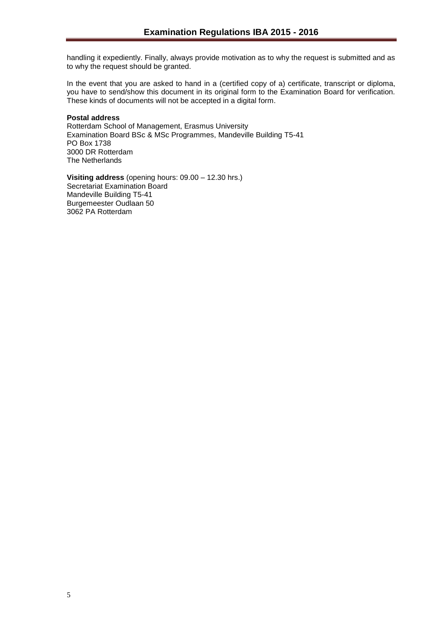handling it expediently. Finally, always provide motivation as to why the request is submitted and as to why the request should be granted.

In the event that you are asked to hand in a (certified copy of a) certificate, transcript or diploma, you have to send/show this document in its original form to the Examination Board for verification. These kinds of documents will not be accepted in a digital form.

#### **Postal address**

Rotterdam School of Management, Erasmus University Examination Board BSc & MSc Programmes, Mandeville Building T5-41 PO Box 1738 3000 DR Rotterdam The Netherlands

**Visiting address** (opening hours: 09.00 – 12.30 hrs.) Secretariat Examination Board Mandeville Building T5-41 Burgemeester Oudlaan 50 3062 PA Rotterdam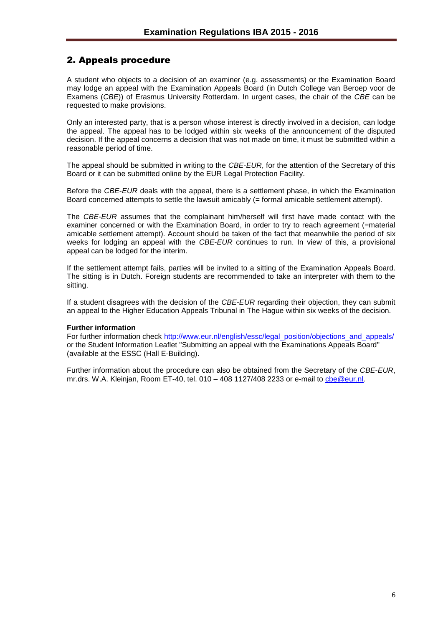## <span id="page-5-0"></span>2. Appeals procedure

A student who objects to a decision of an examiner (e.g. assessments) or the Examination Board may lodge an appeal with the Examination Appeals Board (in Dutch College van Beroep voor de Examens (*CBE*)) of Erasmus University Rotterdam. In urgent cases, the chair of the *CBE* can be requested to make provisions.

Only an interested party, that is a person whose interest is directly involved in a decision, can lodge the appeal. The appeal has to be lodged within six weeks of the announcement of the disputed decision. If the appeal concerns a decision that was not made on time, it must be submitted within a reasonable period of time.

The appeal should be submitted in writing to the *CBE*-*EUR*, for the attention of the Secretary of this Board or it can be submitted online by the EUR Legal Protection Facility.

Before the *CBE*-*EUR* deals with the appeal, there is a settlement phase, in which the Examination Board concerned attempts to settle the lawsuit amicably (= formal amicable settlement attempt).

The *CBE*-*EUR* assumes that the complainant him/herself will first have made contact with the examiner concerned or with the Examination Board, in order to try to reach agreement (=material amicable settlement attempt). Account should be taken of the fact that meanwhile the period of six weeks for lodging an appeal with the *CBE*-*EUR* continues to run. In view of this, a provisional appeal can be lodged for the interim.

If the settlement attempt fails, parties will be invited to a sitting of the Examination Appeals Board. The sitting is in Dutch. Foreign students are recommended to take an interpreter with them to the sitting.

If a student disagrees with the decision of the *CBE-EUR* regarding their objection, they can submit an appeal to the Higher Education Appeals Tribunal in The Hague within six weeks of the decision.

#### **Further information**

For further information check [http://www.eur.nl/english/essc/legal\\_position/objections\\_and\\_appeals/](http://www.eur.nl/english/essc/legal_position/objections_and_appeals/) or the Student Information Leaflet "Submitting an appeal with the Examinations Appeals Board" (available at the ESSC (Hall E-Building).

Further information about the procedure can also be obtained from the Secretary of the *CBE*-*EUR*, mr.drs. W.A. Kleinjan, Room ET-40, tel. 010 – 408 1127/408 2233 or e-mail to [cbe@eur.nl.](mailto:cbe@eur.nl)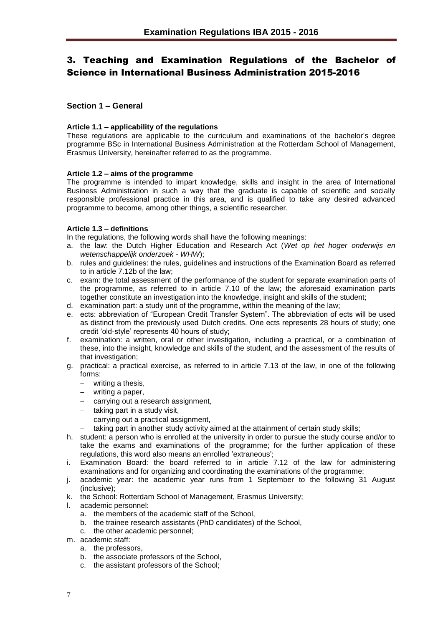# <span id="page-6-0"></span>3. Teaching and Examination Regulations of the Bachelor of Science in International Business Administration 2015-2016

## <span id="page-6-1"></span>**Section 1 – General**

#### <span id="page-6-2"></span>**Article 1.1 – applicability of the regulations**

These regulations are applicable to the curriculum and examinations of the bachelor's degree programme BSc in International Business Administration at the Rotterdam School of Management, Erasmus University, hereinafter referred to as the programme.

#### <span id="page-6-3"></span>**Article 1.2 – aims of the programme**

The programme is intended to impart knowledge, skills and insight in the area of International Business Administration in such a way that the graduate is capable of scientific and socially responsible professional practice in this area, and is qualified to take any desired advanced programme to become, among other things, a scientific researcher.

#### <span id="page-6-4"></span>**Article 1.3 – definitions**

In the regulations, the following words shall have the following meanings:

- a. the law: the Dutch Higher Education and Research Act (*Wet op het hoger onderwijs en wetenschappelijk onderzoek* - *WHW*);
- b. rules and guidelines: the rules, guidelines and instructions of the Examination Board as referred to in article 7.12b of the law;
- c. exam: the total assessment of the performance of the student for separate examination parts of the programme, as referred to in article 7.10 of the law; the aforesaid examination parts together constitute an investigation into the knowledge, insight and skills of the student;
- d. examination part: a study unit of the programme, within the meaning of the law;
- e. ects: abbreviation of "European Credit Transfer System". The abbreviation of ects will be used as distinct from the previously used Dutch credits. One ects represents 28 hours of study; one credit 'old-style' represents 40 hours of study;
- f. examination: a written, oral or other investigation, including a practical, or a combination of these, into the insight, knowledge and skills of the student, and the assessment of the results of that investigation:
- g. practical: a practical exercise, as referred to in article 7.13 of the law, in one of the following forms:
	- writing a thesis,
	- writing a paper,
	- carrying out a research assignment,
	- $-$  taking part in a study visit,
	- carrying out a practical assignment,
	- $-$  taking part in another study activity aimed at the attainment of certain study skills;
- h. student: a person who is enrolled at the university in order to pursue the study course and/or to take the exams and examinations of the programme; for the further application of these regulations, this word also means an enrolled 'extraneous';
- i. Examination Board: the board referred to in article 7.12 of the law for administering examinations and for organizing and coordinating the examinations of the programme;
- j. academic year: the academic year runs from 1 September to the following 31 August (inclusive);
- k. the School: Rotterdam School of Management, Erasmus University;
- l. academic personnel:
	- a. the members of the academic staff of the School,
	- b. the trainee research assistants (PhD candidates) of the School,
	- c. the other academic personnel;
- m. academic staff:
	- a. the professors,
	- b. the associate professors of the School,
	- c. the assistant professors of the School;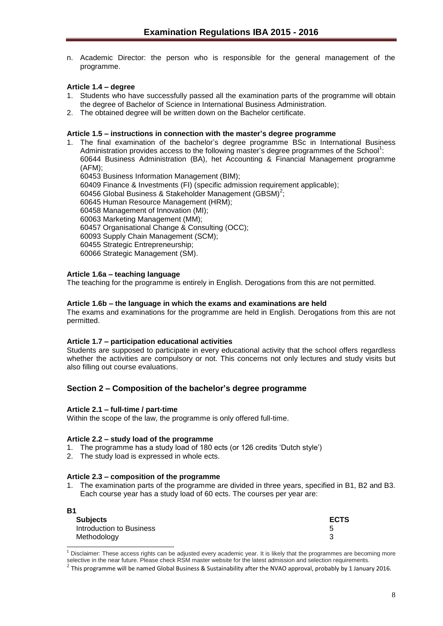n. Academic Director: the person who is responsible for the general management of the programme.

## <span id="page-7-0"></span>**Article 1.4 – degree**

- 1. Students who have successfully passed all the examination parts of the programme will obtain the degree of Bachelor of Science in International Business Administration.
- 2. The obtained degree will be written down on the Bachelor certificate.

#### <span id="page-7-1"></span>**Article 1.5 – instructions in connection with the master's degree programme**

1. The final examination of the bachelor's degree programme BSc in International Business Administration provides access to the following master's degree programmes of the School<sup>1</sup>: 60644 Business Administration (BA), het Accounting & Financial Management programme (AFM); 60453 Business Information Management (BIM); 60409 Finance & Investments (FI) (specific admission requirement applicable); 60456 Global Business & Stakeholder Management (GBSM)<sup>2</sup>; 60645 Human Resource Management (HRM); 60458 Management of Innovation (MI); 60063 Marketing Management (MM); 60457 Organisational Change & Consulting (OCC); 60093 Supply Chain Management (SCM); 60455 Strategic Entrepreneurship; 60066 Strategic Management (SM).

#### <span id="page-7-2"></span>**Article 1.6a – teaching language**

The teaching for the programme is entirely in English. Derogations from this are not permitted.

#### <span id="page-7-3"></span>**Article 1.6b – the language in which the exams and examinations are held**

The exams and examinations for the programme are held in English. Derogations from this are not permitted.

#### <span id="page-7-4"></span>**Article 1.7 – participation educational activities**

Students are supposed to participate in every educational activity that the school offers regardless whether the activities are compulsory or not. This concerns not only lectures and study visits but also filling out course evaluations.

#### <span id="page-7-5"></span>**Section 2 – Composition of the bachelor's degree programme**

#### <span id="page-7-6"></span>**Article 2.1 – full-time / part-time**

**B**<sub>1</sub>

l

Within the scope of the law, the programme is only offered full-time.

#### <span id="page-7-7"></span>**Article 2.2 – study load of the programme**

- 1. The programme has a study load of 180 ects (or 126 credits 'Dutch style')
- 2. The study load is expressed in whole ects.

#### <span id="page-7-8"></span>**Article 2.3 – composition of the programme**

1. The examination parts of the programme are divided in three years, specified in B1, B2 and B3. Each course year has a study load of 60 ects. The courses per year are:

| <b>ECTS</b> |
|-------------|
|             |
|             |
|             |

 $1$  Disclaimer: These access rights can be adjusted every academic year. It is likely that the programmes are becoming more selective in the near future. Please check RSM master website for the latest admission and selection requirements.

<sup>2</sup> This programme will be named Global Business & Sustainability after the NVAO approval, probably by 1 January 2016*.*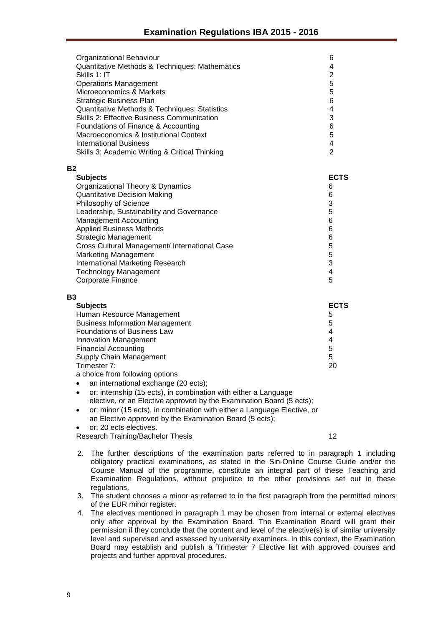| Organizational Behaviour<br>Quantitative Methods & Techniques: Mathematics<br>Skills 1: IT<br><b>Operations Management</b><br>Microeconomics & Markets<br>Strategic Business Plan<br>Quantitative Methods & Techniques: Statistics<br><b>Skills 2: Effective Business Communication</b><br>Foundations of Finance & Accounting<br>Macroeconomics & Institutional Context<br>International Business<br>Skills 3: Academic Writing & Critical Thinking | 6<br>4<br>$\overline{2}$<br>5<br>5<br>6<br>4<br>3<br>6<br>5<br>4<br>$\overline{2}$ |
|------------------------------------------------------------------------------------------------------------------------------------------------------------------------------------------------------------------------------------------------------------------------------------------------------------------------------------------------------------------------------------------------------------------------------------------------------|------------------------------------------------------------------------------------|
| <b>B2</b><br><b>Subjects</b>                                                                                                                                                                                                                                                                                                                                                                                                                         | <b>ECTS</b>                                                                        |
| Organizational Theory & Dynamics                                                                                                                                                                                                                                                                                                                                                                                                                     | 6                                                                                  |
| <b>Quantitative Decision Making</b>                                                                                                                                                                                                                                                                                                                                                                                                                  | 6                                                                                  |
| Philosophy of Science                                                                                                                                                                                                                                                                                                                                                                                                                                | 3                                                                                  |
| Leadership, Sustainability and Governance                                                                                                                                                                                                                                                                                                                                                                                                            | 5                                                                                  |
| Management Accounting                                                                                                                                                                                                                                                                                                                                                                                                                                | 6                                                                                  |
| <b>Applied Business Methods</b>                                                                                                                                                                                                                                                                                                                                                                                                                      | 6                                                                                  |
| Strategic Management                                                                                                                                                                                                                                                                                                                                                                                                                                 | 6                                                                                  |
| Cross Cultural Management/ International Case                                                                                                                                                                                                                                                                                                                                                                                                        |                                                                                    |
| <b>Marketing Management</b>                                                                                                                                                                                                                                                                                                                                                                                                                          | $\frac{5}{5}$                                                                      |
| International Marketing Research                                                                                                                                                                                                                                                                                                                                                                                                                     | 3                                                                                  |
| <b>Technology Management</b>                                                                                                                                                                                                                                                                                                                                                                                                                         | 4                                                                                  |
| Corporate Finance                                                                                                                                                                                                                                                                                                                                                                                                                                    | 5                                                                                  |
| <b>B3</b>                                                                                                                                                                                                                                                                                                                                                                                                                                            |                                                                                    |

| <b>Subjects</b>                        | <b>ECTS</b> |
|----------------------------------------|-------------|
| Human Resource Management              | 5           |
| <b>Business Information Management</b> | 5           |
| Foundations of Business Law            | 4           |
| <b>Innovation Management</b>           | 4           |
| <b>Financial Accounting</b>            | 5           |
| <b>Supply Chain Management</b>         | 5           |
| Trimester 7:                           | 20          |
|                                        |             |

- a choice from following options
- an international exchange (20 ects);
- or: internship (15 ects), in combination with either a Language elective, or an Elective approved by the Examination Board (5 ects); or: minor (15 ects), in combination with either a Language Elective, or
	- an Elective approved by the Examination Board (5 ects);
- or: 20 ects electives.

Research Training/Bachelor Thesis 12

- 2. The further descriptions of the examination parts referred to in paragraph 1 including obligatory practical examinations, as stated in the Sin-Online Course Guide and/or the Course Manual of the programme, constitute an integral part of these Teaching and Examination Regulations, without prejudice to the other provisions set out in these regulations.
- 3. The student chooses a minor as referred to in the first paragraph from the permitted minors of the EUR minor register.
- 4. The electives mentioned in paragraph 1 may be chosen from internal or external electives only after approval by the Examination Board. The Examination Board will grant their permission if they conclude that the content and level of the elective(s) is of similar university level and supervised and assessed by university examiners. In this context, the Examination Board may establish and publish a Trimester 7 Elective list with approved courses and projects and further approval procedures.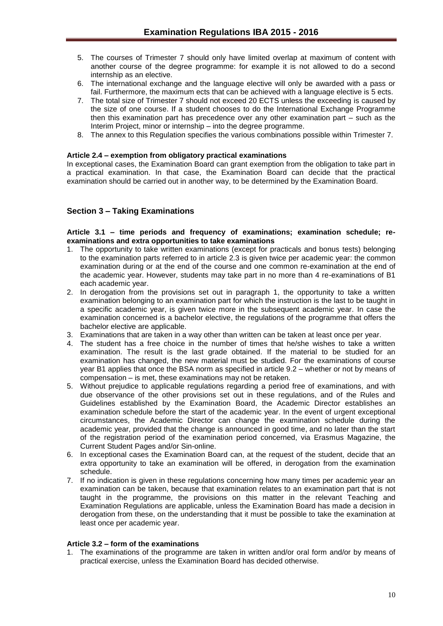- 5. The courses of Trimester 7 should only have limited overlap at maximum of content with another course of the degree programme: for example it is not allowed to do a second internship as an elective.
- 6. The international exchange and the language elective will only be awarded with a pass or fail. Furthermore, the maximum ects that can be achieved with a language elective is 5 ects.
- 7. The total size of Trimester 7 should not exceed 20 ECTS unless the exceeding is caused by the size of one course. If a student chooses to do the International Exchange Programme then this examination part has precedence over any other examination part – such as the Interim Project, minor or internship – into the degree programme.
- 8. The annex to this Regulation specifies the various combinations possible within Trimester 7.

#### <span id="page-9-0"></span>**Article 2.4 – exemption from obligatory practical examinations**

In exceptional cases, the Examination Board can grant exemption from the obligation to take part in a practical examination. In that case, the Examination Board can decide that the practical examination should be carried out in another way, to be determined by the Examination Board.

## <span id="page-9-1"></span>**Section 3 – Taking Examinations**

#### <span id="page-9-2"></span>**Article 3.1 – time periods and frequency of examinations; examination schedule; reexaminations and extra opportunities to take examinations**

- 1. The opportunity to take written examinations (except for practicals and bonus tests) belonging to the examination parts referred to in article 2.3 is given twice per academic year: the common examination during or at the end of the course and one common re-examination at the end of the academic year. However, students may take part in no more than 4 re-examinations of B1 each academic year.
- 2. In derogation from the provisions set out in paragraph 1, the opportunity to take a written examination belonging to an examination part for which the instruction is the last to be taught in a specific academic year, is given twice more in the subsequent academic year. In case the examination concerned is a bachelor elective, the regulations of the programme that offers the bachelor elective are applicable.
- 3. Examinations that are taken in a way other than written can be taken at least once per year.
- 4. The student has a free choice in the number of times that he/she wishes to take a written examination. The result is the last grade obtained. If the material to be studied for an examination has changed, the new material must be studied. For the examinations of course year B1 applies that once the BSA norm as specified in article 9.2 – whether or not by means of compensation – is met, these examinations may not be retaken.
- 5. Without prejudice to applicable regulations regarding a period free of examinations, and with due observance of the other provisions set out in these regulations, and of the Rules and Guidelines established by the Examination Board, the Academic Director establishes an examination schedule before the start of the academic year. In the event of urgent exceptional circumstances, the Academic Director can change the examination schedule during the academic year, provided that the change is announced in good time, and no later than the start of the registration period of the examination period concerned, via Erasmus Magazine, the Current Student Pages and/or Sin-online.
- 6. In exceptional cases the Examination Board can, at the request of the student, decide that an extra opportunity to take an examination will be offered, in derogation from the examination schedule.
- 7. If no indication is given in these regulations concerning how many times per academic year an examination can be taken, because that examination relates to an examination part that is not taught in the programme, the provisions on this matter in the relevant Teaching and Examination Regulations are applicable, unless the Examination Board has made a decision in derogation from these, on the understanding that it must be possible to take the examination at least once per academic year.

## <span id="page-9-3"></span>**Article 3.2 – form of the examinations**

1. The examinations of the programme are taken in written and/or oral form and/or by means of practical exercise, unless the Examination Board has decided otherwise.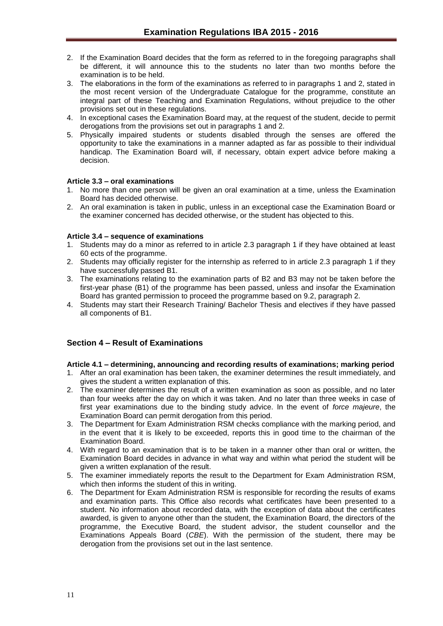- 2. If the Examination Board decides that the form as referred to in the foregoing paragraphs shall be different, it will announce this to the students no later than two months before the examination is to be held.
- 3. The elaborations in the form of the examinations as referred to in paragraphs 1 and 2, stated in the most recent version of the Undergraduate Catalogue for the programme, constitute an integral part of these Teaching and Examination Regulations, without prejudice to the other provisions set out in these regulations.
- 4. In exceptional cases the Examination Board may, at the request of the student, decide to permit derogations from the provisions set out in paragraphs 1 and 2.
- 5. Physically impaired students or students disabled through the senses are offered the opportunity to take the examinations in a manner adapted as far as possible to their individual handicap. The Examination Board will, if necessary, obtain expert advice before making a decision.

#### <span id="page-10-0"></span>**Article 3.3 – oral examinations**

- 1. No more than one person will be given an oral examination at a time, unless the Examination Board has decided otherwise.
- 2. An oral examination is taken in public, unless in an exceptional case the Examination Board or the examiner concerned has decided otherwise, or the student has objected to this.

#### <span id="page-10-1"></span>**Article 3.4 – sequence of examinations**

- 1. Students may do a minor as referred to in article 2.3 paragraph 1 if they have obtained at least 60 ects of the programme.
- 2. Students may officially register for the internship as referred to in article 2.3 paragraph 1 if they have successfully passed B1.
- 3. The examinations relating to the examination parts of B2 and B3 may not be taken before the first-year phase (B1) of the programme has been passed, unless and insofar the Examination Board has granted permission to proceed the programme based on 9.2, paragraph 2.
- 4. Students may start their Research Training/ Bachelor Thesis and electives if they have passed all components of B1.

#### <span id="page-10-2"></span>**Section 4 – Result of Examinations**

#### <span id="page-10-3"></span>**Article 4.1 – determining, announcing and recording results of examinations; marking period**

- 1. After an oral examination has been taken, the examiner determines the result immediately, and gives the student a written explanation of this.
- 2. The examiner determines the result of a written examination as soon as possible, and no later than four weeks after the day on which it was taken. And no later than three weeks in case of first year examinations due to the binding study advice. In the event of *force majeure*, the Examination Board can permit derogation from this period.
- 3. The Department for Exam Administration RSM checks compliance with the marking period, and in the event that it is likely to be exceeded, reports this in good time to the chairman of the Examination Board.
- 4. With regard to an examination that is to be taken in a manner other than oral or written, the Examination Board decides in advance in what way and within what period the student will be given a written explanation of the result.
- 5. The examiner immediately reports the result to the Department for Exam Administration RSM, which then informs the student of this in writing.
- 6. The Department for Exam Administration RSM is responsible for recording the results of exams and examination parts. This Office also records what certificates have been presented to a student. No information about recorded data, with the exception of data about the certificates awarded, is given to anyone other than the student, the Examination Board, the directors of the programme, the Executive Board, the student advisor, the student counsellor and the Examinations Appeals Board (*CBE*). With the permission of the student, there may be derogation from the provisions set out in the last sentence.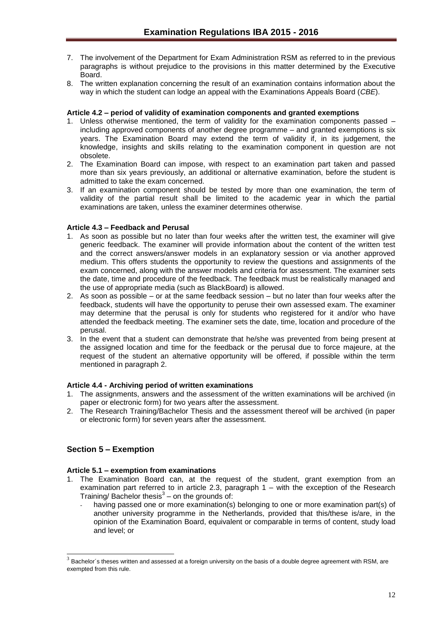- 7. The involvement of the Department for Exam Administration RSM as referred to in the previous paragraphs is without prejudice to the provisions in this matter determined by the Executive Board.
- 8. The written explanation concerning the result of an examination contains information about the way in which the student can lodge an appeal with the Examinations Appeals Board (*CBE*).

#### <span id="page-11-0"></span>**Article 4.2 – period of validity of examination components and granted exemptions**

- 1. Unless otherwise mentioned, the term of validity for the examination components passed including approved components of another degree programme – and granted exemptions is six years. The Examination Board may extend the term of validity if, in its judgement, the knowledge, insights and skills relating to the examination component in question are not obsolete.
- 2. The Examination Board can impose, with respect to an examination part taken and passed more than six years previously, an additional or alternative examination, before the student is admitted to take the exam concerned.
- 3. If an examination component should be tested by more than one examination, the term of validity of the partial result shall be limited to the academic year in which the partial examinations are taken, unless the examiner determines otherwise.

#### <span id="page-11-1"></span>**Article 4.3 – Feedback and Perusal**

- 1. As soon as possible but no later than four weeks after the written test, the examiner will give generic feedback. The examiner will provide information about the content of the written test and the correct answers/answer models in an explanatory session or via another approved medium. This offers students the opportunity to review the questions and assignments of the exam concerned, along with the answer models and criteria for assessment. The examiner sets the date, time and procedure of the feedback. The feedback must be realistically managed and the use of appropriate media (such as BlackBoard) is allowed.
- 2. As soon as possible or at the same feedback session but no later than four weeks after the feedback, students will have the opportunity to peruse their own assessed exam. The examiner may determine that the perusal is only for students who registered for it and/or who have attended the feedback meeting. The examiner sets the date, time, location and procedure of the perusal.
- 3. In the event that a student can demonstrate that he/she was prevented from being present at the assigned location and time for the feedback or the perusal due to force majeure, at the request of the student an alternative opportunity will be offered, if possible within the term mentioned in paragraph 2.

#### <span id="page-11-2"></span>**Article 4.4 - Archiving period of written examinations**

- 1. The assignments, answers and the assessment of the written examinations will be archived (in paper or electronic form) for two years after the assessment.
- 2. The Research Training/Bachelor Thesis and the assessment thereof will be archived (in paper or electronic form) for seven years after the assessment.

## <span id="page-11-3"></span>**Section 5 – Exemption**

l

## <span id="page-11-4"></span>**Article 5.1 – exemption from examinations**

- 1. The Examination Board can, at the request of the student, grant exemption from an examination part referred to in article 2.3, paragraph 1 – with the exception of the Research Training/ Bachelor thesis $3$  – on the grounds of:
	- having passed one or more examination(s) belonging to one or more examination part(s) of another university programme in the Netherlands, provided that this/these is/are, in the opinion of the Examination Board, equivalent or comparable in terms of content, study load and level; or

 $3$  Bachelor's theses written and assessed at a foreign university on the basis of a double degree agreement with RSM, are exempted from this rule.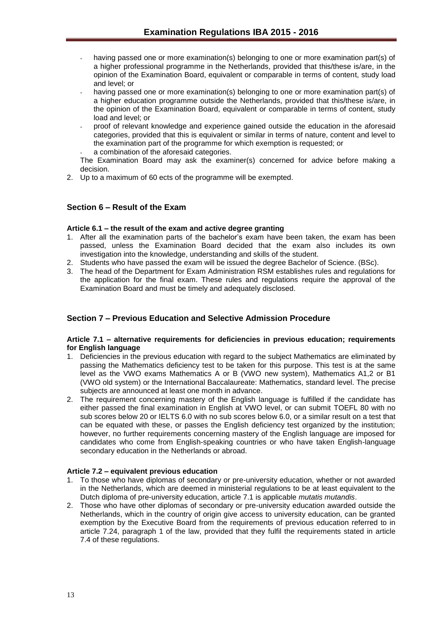- having passed one or more examination(s) belonging to one or more examination part(s) of a higher professional programme in the Netherlands, provided that this/these is/are, in the opinion of the Examination Board, equivalent or comparable in terms of content, study load and level; or
- having passed one or more examination(s) belonging to one or more examination part(s) of a higher education programme outside the Netherlands, provided that this/these is/are, in the opinion of the Examination Board, equivalent or comparable in terms of content, study load and level; or
- proof of relevant knowledge and experience gained outside the education in the aforesaid categories, provided that this is equivalent or similar in terms of nature, content and level to the examination part of the programme for which exemption is requested; or
- a combination of the aforesaid categories.

The Examination Board may ask the examiner(s) concerned for advice before making a decision.

2. Up to a maximum of 60 ects of the programme will be exempted.

## <span id="page-12-0"></span>**Section 6 – Result of the Exam**

#### <span id="page-12-1"></span>**Article 6.1 – the result of the exam and active degree granting**

- 1. After all the examination parts of the bachelor's exam have been taken, the exam has been passed, unless the Examination Board decided that the exam also includes its own investigation into the knowledge, understanding and skills of the student.
- 2. Students who have passed the exam will be issued the degree Bachelor of Science. (BSc).
- 3. The head of the Department for Exam Administration RSM establishes rules and regulations for the application for the final exam. These rules and regulations require the approval of the Examination Board and must be timely and adequately disclosed.

## <span id="page-12-2"></span>**Section 7 – Previous Education and Selective Admission Procedure**

#### <span id="page-12-3"></span>**Article 7.1 – alternative requirements for deficiencies in previous education; requirements for English language**

- 1. Deficiencies in the previous education with regard to the subject Mathematics are eliminated by passing the Mathematics deficiency test to be taken for this purpose. This test is at the same level as the VWO exams Mathematics A or B (VWO new system), Mathematics A1,2 or B1 (VWO old system) or the International Baccalaureate: Mathematics, standard level. The precise subjects are announced at least one month in advance.
- 2. The requirement concerning mastery of the English language is fulfilled if the candidate has either passed the final examination in English at VWO level, or can submit TOEFL 80 with no sub scores below 20 or IELTS 6.0 with no sub scores below 6.0, or a similar result on a test that can be equated with these, or passes the English deficiency test organized by the institution; however, no further requirements concerning mastery of the English language are imposed for candidates who come from English-speaking countries or who have taken English-language secondary education in the Netherlands or abroad.

#### <span id="page-12-4"></span>**Article 7.2 – equivalent previous education**

- 1. To those who have diplomas of secondary or pre-university education, whether or not awarded in the Netherlands, which are deemed in ministerial regulations to be at least equivalent to the Dutch diploma of pre-university education, article 7.1 is applicable *mutatis mutandis*.
- 2. Those who have other diplomas of secondary or pre-university education awarded outside the Netherlands, which in the country of origin give access to university education, can be granted exemption by the Executive Board from the requirements of previous education referred to in article 7.24, paragraph 1 of the law, provided that they fulfil the requirements stated in article 7.4 of these regulations.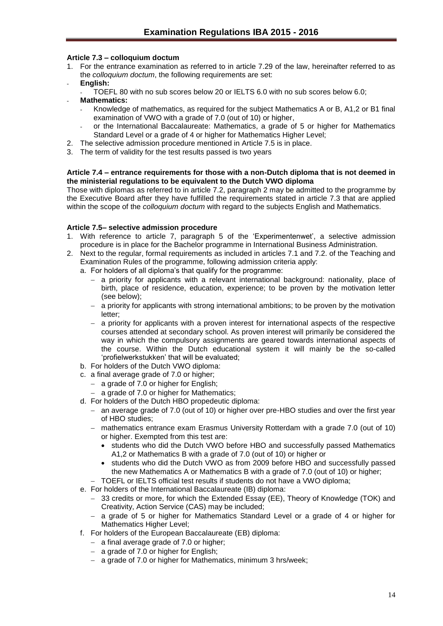## <span id="page-13-0"></span>**Article 7.3 – colloquium doctum**

- 1. For the entrance examination as referred to in article 7.29 of the law, hereinafter referred to as the *colloquium doctum*, the following requirements are set:
- **English:**
	- TOEFL 80 with no sub scores below 20 or IELTS 6.0 with no sub scores below 6.0;
- **Mathematics:**
	- Knowledge of mathematics, as required for the subject Mathematics A or B, A1,2 or B1 final examination of VWO with a grade of 7.0 (out of 10) or higher,
	- or the International Baccalaureate: Mathematics, a grade of 5 or higher for Mathematics Standard Level or a grade of 4 or higher for Mathematics Higher Level;
- 2. The selective admission procedure mentioned in Article 7.5 is in place.
- 3. The term of validity for the test results passed is two years

#### <span id="page-13-1"></span>**Article 7.4 – entrance requirements for those with a non-Dutch diploma that is not deemed in the ministerial regulations to be equivalent to the Dutch VWO diploma**

Those with diplomas as referred to in article 7.2, paragraph 2 may be admitted to the programme by the Executive Board after they have fulfilled the requirements stated in article 7.3 that are applied within the scope of the *colloquium doctum* with regard to the subjects English and Mathematics.

#### <span id="page-13-2"></span>**Article 7.5– selective admission procedure**

- 1. With reference to article 7, paragraph 5 of the 'Experimentenwet', a selective admission procedure is in place for the Bachelor programme in International Business Administration.
- 2. Next to the regular, formal requirements as included in articles 7.1 and 7.2. of the Teaching and Examination Rules of the programme, following admission criteria apply:
	- a. For holders of all diploma's that qualify for the programme:
		- a priority for applicants with a relevant international background: nationality, place of birth, place of residence, education, experience; to be proven by the motivation letter (see below);
		- $-$  a priority for applicants with strong international ambitions; to be proven by the motivation letter;
		- $-$  a priority for applicants with a proven interest for international aspects of the respective courses attended at secondary school. As proven interest will primarily be considered the way in which the compulsory assignments are geared towards international aspects of the course. Within the Dutch educational system it will mainly be the so-called 'profielwerkstukken' that will be evaluated;
	- b. For holders of the Dutch VWO diploma:
	- c. a final average grade of 7.0 or higher;
		- $-$  a grade of 7.0 or higher for English;
		- a grade of 7.0 or higher for Mathematics;
	- d. For holders of the Dutch HBO propedeutic diploma:
		- an average grade of 7.0 (out of 10) or higher over pre-HBO studies and over the first year of HBO studies;
		- mathematics entrance exam Erasmus University Rotterdam with a grade 7.0 (out of 10) or higher. Exempted from this test are:
			- students who did the Dutch VWO before HBO and successfully passed Mathematics A1,2 or Mathematics B with a grade of 7.0 (out of 10) or higher or
			- students who did the Dutch VWO as from 2009 before HBO and successfully passed the new Mathematics A or Mathematics B with a grade of 7.0 (out of 10) or higher;
		- TOEFL or IELTS official test results if students do not have a VWO diploma;
	- e. For holders of the International Baccalaureate (IB) diploma:
		- 33 credits or more, for which the Extended Essay (EE), Theory of Knowledge (TOK) and Creativity, Action Service (CAS) may be included;
		- a grade of 5 or higher for Mathematics Standard Level or a grade of 4 or higher for Mathematics Higher Level;
	- f. For holders of the European Baccalaureate (EB) diploma:
		- $-$  a final average grade of 7.0 or higher;
		- a grade of 7.0 or higher for English;
		- a grade of 7.0 or higher for Mathematics, minimum 3 hrs/week;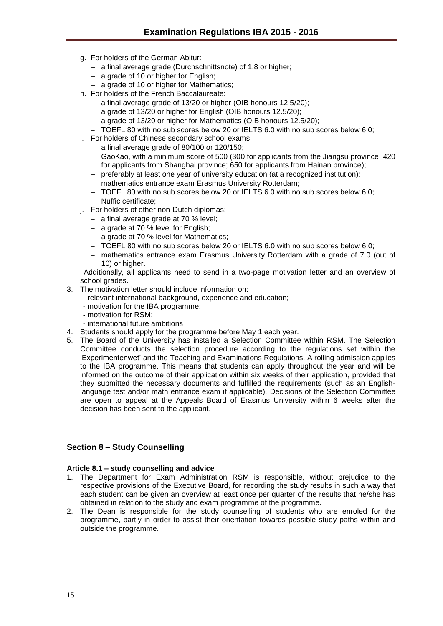- g. For holders of the German Abitur:
	- a final average grade (Durchschnittsnote) of 1.8 or higher;
	- $-$  a grade of 10 or higher for English;
	- a grade of 10 or higher for Mathematics;
- h. For holders of the French Baccalaureate:
	- a final average grade of 13/20 or higher (OIB honours 12.5/20);
	- a grade of 13/20 or higher for English (OIB honours 12.5/20);
	- a grade of 13/20 or higher for Mathematics (OIB honours 12.5/20);
	- TOEFL 80 with no sub scores below 20 or IELTS 6.0 with no sub scores below 6.0;
- i. For holders of Chinese secondary school exams:
	- $-$  a final average grade of 80/100 or 120/150;
	- GaoKao, with a minimum score of 500 (300 for applicants from the Jiangsu province; 420 for applicants from Shanghai province; 650 for applicants from Hainan province);
	- preferably at least one year of university education (at a recognized institution);
	- mathematics entrance exam Erasmus University Rotterdam;
	- TOEFL 80 with no sub scores below 20 or IELTS 6.0 with no sub scores below 6.0;
	- Nuffic certificate:
- j. For holders of other non-Dutch diplomas:
	- $-$  a final average grade at 70 % level;
	- $-$  a grade at 70 % level for English:
	- a grade at 70 % level for Mathematics;
	- TOEFL 80 with no sub scores below 20 or IELTS 6.0 with no sub scores below 6.0;
	- mathematics entrance exam Erasmus University Rotterdam with a grade of 7.0 (out of 10) or higher.

Additionally, all applicants need to send in a two-page motivation letter and an overview of school grades.

- 3. The motivation letter should include information on:
	- relevant international background, experience and education;
	- motivation for the IBA programme;
	- motivation for RSM;
	- international future ambitions
- 4. Students should apply for the programme before May 1 each year.
- 5. The Board of the University has installed a Selection Committee within RSM. The Selection Committee conducts the selection procedure according to the regulations set within the 'Experimentenwet' and the Teaching and Examinations Regulations. A rolling admission applies to the IBA programme. This means that students can apply throughout the year and will be informed on the outcome of their application within six weeks of their application, provided that they submitted the necessary documents and fulfilled the requirements (such as an Englishlanguage test and/or math entrance exam if applicable). Decisions of the Selection Committee are open to appeal at the Appeals Board of Erasmus University within 6 weeks after the decision has been sent to the applicant.

#### <span id="page-14-0"></span>**Section 8 – Study Counselling**

#### <span id="page-14-1"></span>**Article 8.1 – study counselling and advice**

- 1. The Department for Exam Administration RSM is responsible, without prejudice to the respective provisions of the Executive Board, for recording the study results in such a way that each student can be given an overview at least once per quarter of the results that he/she has obtained in relation to the study and exam programme of the programme.
- 2. The Dean is responsible for the study counselling of students who are enroled for the programme, partly in order to assist their orientation towards possible study paths within and outside the programme.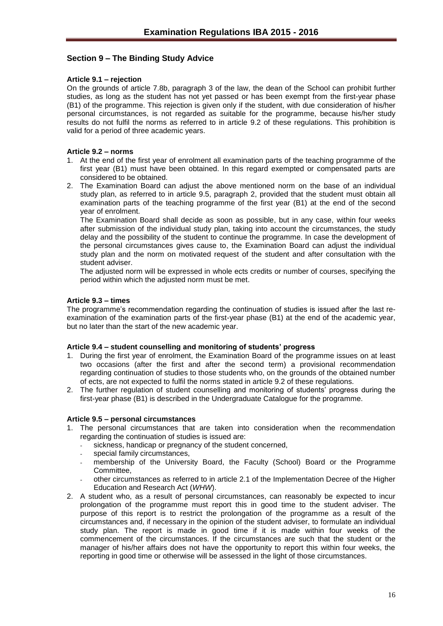## <span id="page-15-0"></span>**Section 9 – The Binding Study Advice**

#### <span id="page-15-1"></span>**Article 9.1 – rejection**

On the grounds of article 7.8b, paragraph 3 of the law, the dean of the School can prohibit further studies, as long as the student has not yet passed or has been exempt from the first-year phase (B1) of the programme. This rejection is given only if the student, with due consideration of his/her personal circumstances, is not regarded as suitable for the programme, because his/her study results do not fulfil the norms as referred to in article 9.2 of these regulations. This prohibition is valid for a period of three academic years.

#### <span id="page-15-2"></span>**Article 9.2 – norms**

- 1. At the end of the first year of enrolment all examination parts of the teaching programme of the first year (B1) must have been obtained. In this regard exempted or compensated parts are considered to be obtained.
- 2. The Examination Board can adjust the above mentioned norm on the base of an individual study plan, as referred to in article 9.5, paragraph 2, provided that the student must obtain all examination parts of the teaching programme of the first year (B1) at the end of the second year of enrolment.

The Examination Board shall decide as soon as possible, but in any case, within four weeks after submission of the individual study plan, taking into account the circumstances, the study delay and the possibility of the student to continue the programme. In case the development of the personal circumstances gives cause to, the Examination Board can adjust the individual study plan and the norm on motivated request of the student and after consultation with the student adviser.

The adjusted norm will be expressed in whole ects credits or number of courses, specifying the period within which the adjusted norm must be met.

#### <span id="page-15-3"></span>**Article 9.3 – times**

The programme's recommendation regarding the continuation of studies is issued after the last reexamination of the examination parts of the first-year phase (B1) at the end of the academic year, but no later than the start of the new academic year.

#### <span id="page-15-4"></span>**Article 9.4 – student counselling and monitoring of students' progress**

- 1. During the first year of enrolment, the Examination Board of the programme issues on at least two occasions (after the first and after the second term) a provisional recommendation regarding continuation of studies to those students who, on the grounds of the obtained number of ects, are not expected to fulfil the norms stated in article 9.2 of these regulations.
- 2. The further regulation of student counselling and monitoring of students' progress during the first-year phase (B1) is described in the Undergraduate Catalogue for the programme.

#### <span id="page-15-5"></span>**Article 9.5 – personal circumstances**

- 1. The personal circumstances that are taken into consideration when the recommendation regarding the continuation of studies is issued are:
	- sickness, handicap or pregnancy of the student concerned,
	- special family circumstances,
	- membership of the University Board, the Faculty (School) Board or the Programme Committee,
	- other circumstances as referred to in article 2.1 of the Implementation Decree of the Higher Education and Research Act (*WHW*).
- 2. A student who, as a result of personal circumstances, can reasonably be expected to incur prolongation of the programme must report this in good time to the student adviser. The purpose of this report is to restrict the prolongation of the programme as a result of the circumstances and, if necessary in the opinion of the student adviser, to formulate an individual study plan. The report is made in good time if it is made within four weeks of the commencement of the circumstances. If the circumstances are such that the student or the manager of his/her affairs does not have the opportunity to report this within four weeks, the reporting in good time or otherwise will be assessed in the light of those circumstances.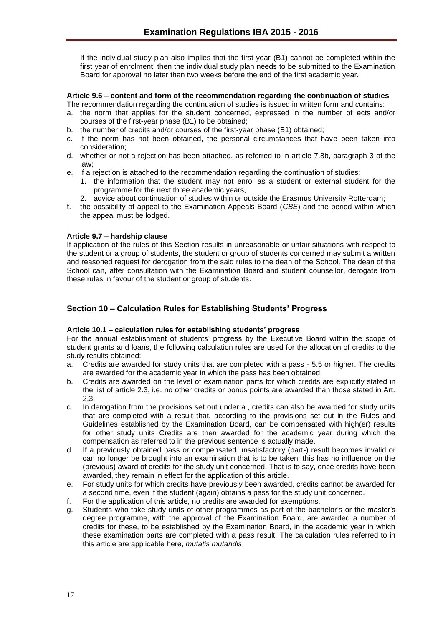If the individual study plan also implies that the first year (B1) cannot be completed within the first year of enrolment, then the individual study plan needs to be submitted to the Examination Board for approval no later than two weeks before the end of the first academic year.

#### <span id="page-16-0"></span>**Article 9.6 – content and form of the recommendation regarding the continuation of studies**

- The recommendation regarding the continuation of studies is issued in written form and contains:
- a. the norm that applies for the student concerned, expressed in the number of ects and/or courses of the first-year phase (B1) to be obtained;
- b. the number of credits and/or courses of the first-year phase (B1) obtained;
- c. if the norm has not been obtained, the personal circumstances that have been taken into consideration;
- d. whether or not a rejection has been attached, as referred to in article 7.8b, paragraph 3 of the law;
- e. if a rejection is attached to the recommendation regarding the continuation of studies:
	- 1. the information that the student may not enrol as a student or external student for the programme for the next three academic years,
	- 2. advice about continuation of studies within or outside the Erasmus University Rotterdam;
- f. the possibility of appeal to the Examination Appeals Board (*CBE*) and the period within which the appeal must be lodged.

#### <span id="page-16-1"></span>**Article 9.7 – hardship clause**

If application of the rules of this Section results in unreasonable or unfair situations with respect to the student or a group of students, the student or group of students concerned may submit a written and reasoned request for derogation from the said rules to the dean of the School. The dean of the School can, after consultation with the Examination Board and student counsellor, derogate from these rules in favour of the student or group of students.

## <span id="page-16-2"></span>**Section 10 – Calculation Rules for Establishing Students' Progress**

#### <span id="page-16-3"></span>**Article 10.1 – calculation rules for establishing students' progress**

For the annual establishment of students' progress by the Executive Board within the scope of student grants and loans, the following calculation rules are used for the allocation of credits to the study results obtained:

- a. Credits are awarded for study units that are completed with a pass 5.5 or higher. The credits are awarded for the academic year in which the pass has been obtained.
- b. Credits are awarded on the level of examination parts for which credits are explicitly stated in the list of article 2.3, i.e. no other credits or bonus points are awarded than those stated in Art. 2.3.
- c. In derogation from the provisions set out under a., credits can also be awarded for study units that are completed with a result that, according to the provisions set out in the Rules and Guidelines established by the Examination Board, can be compensated with high(er) results for other study units Credits are then awarded for the academic year during which the compensation as referred to in the previous sentence is actually made.
- d. If a previously obtained pass or compensated unsatisfactory (part-) result becomes invalid or can no longer be brought into an examination that is to be taken, this has no influence on the (previous) award of credits for the study unit concerned. That is to say, once credits have been awarded, they remain in effect for the application of this article.
- e. For study units for which credits have previously been awarded, credits cannot be awarded for a second time, even if the student (again) obtains a pass for the study unit concerned.
- f. For the application of this article, no credits are awarded for exemptions.
- g. Students who take study units of other programmes as part of the bachelor's or the master's degree programme, with the approval of the Examination Board, are awarded a number of credits for these, to be established by the Examination Board, in the academic year in which these examination parts are completed with a pass result. The calculation rules referred to in this article are applicable here, *mutatis mutandis*.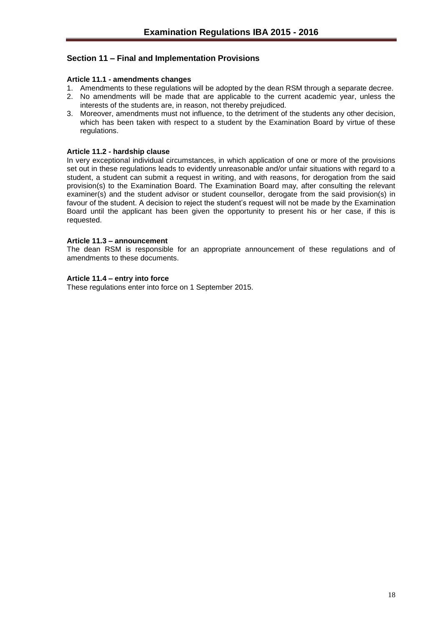## <span id="page-17-0"></span>**Section 11 – Final and Implementation Provisions**

#### <span id="page-17-1"></span>**Article 11.1 - amendments changes**

- 1. Amendments to these regulations will be adopted by the dean RSM through a separate decree.
- 2. No amendments will be made that are applicable to the current academic year, unless the interests of the students are, in reason, not thereby prejudiced.
- 3. Moreover, amendments must not influence, to the detriment of the students any other decision, which has been taken with respect to a student by the Examination Board by virtue of these regulations.

#### <span id="page-17-2"></span>**Article 11.2 - hardship clause**

In very exceptional individual circumstances, in which application of one or more of the provisions set out in these regulations leads to evidently unreasonable and/or unfair situations with regard to a student, a student can submit a request in writing, and with reasons, for derogation from the said provision(s) to the Examination Board. The Examination Board may, after consulting the relevant examiner(s) and the student advisor or student counsellor, derogate from the said provision(s) in favour of the student. A decision to reject the student's request will not be made by the Examination Board until the applicant has been given the opportunity to present his or her case, if this is requested.

#### <span id="page-17-3"></span>**Article 11.3 – announcement**

The dean RSM is responsible for an appropriate announcement of these regulations and of amendments to these documents.

#### <span id="page-17-4"></span>**Article 11.4 – entry into force**

These regulations enter into force on 1 September 2015.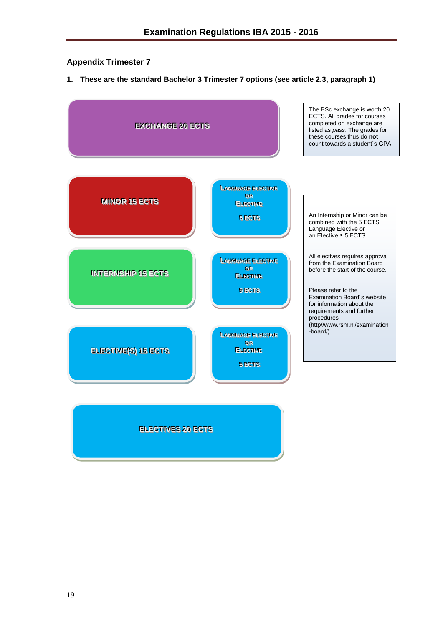## <span id="page-18-0"></span>**Appendix Trimester 7**

**1. These are the standard Bachelor 3 Trimester 7 options (see article 2.3, paragraph 1)**



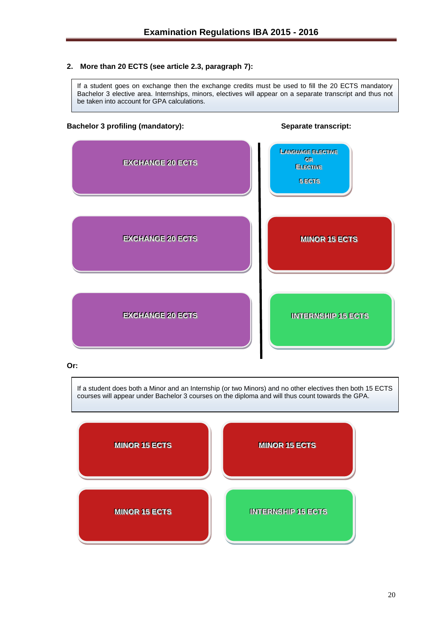### **2. More than 20 ECTS (see article 2.3, paragraph 7):**

If a student goes on exchange then the exchange credits must be used to fill the 20 ECTS mandatory Bachelor 3 elective area. Internships, minors, electives will appear on a separate transcript and thus not be taken into account for GPA calculations.

#### **Bachelor 3 profiling (mandatory): Separate transcript:**



#### **Or:**

If a student does both a Minor and an Internship (or two Minors) and no other electives then both 15 ECTS courses will appear under Bachelor 3 courses on the diploma and will thus count towards the GPA.

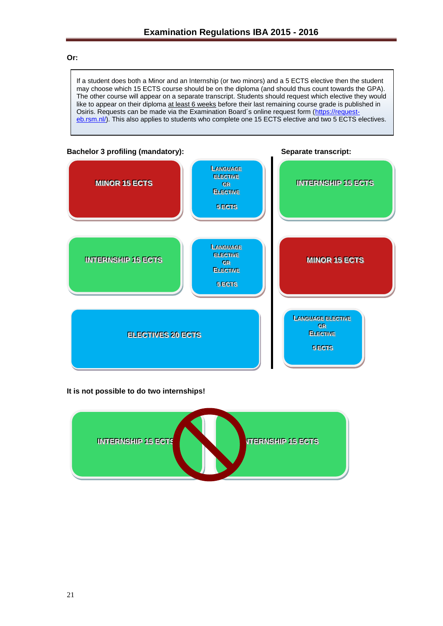#### **Or:**

If a student does both a Minor and an Internship (or two minors) and a 5 ECTS elective then the student may choose which 15 ECTS course should be on the diploma (and should thus count towards the GPA). The other course will appear on a separate transcript. Students should request which elective they would like to appear on their diploma at least 6 weeks before their last remaining course grade is published in Osiris. Requests can be made via the Examination Board's online request form [\(https://request](https://request-eb.rsm.nl/)[eb.rsm.nl/\)](https://request-eb.rsm.nl/). This also applies to students who complete one 15 ECTS elective and two 5 ECTS electives.



#### **It is not possible to do two internships!**

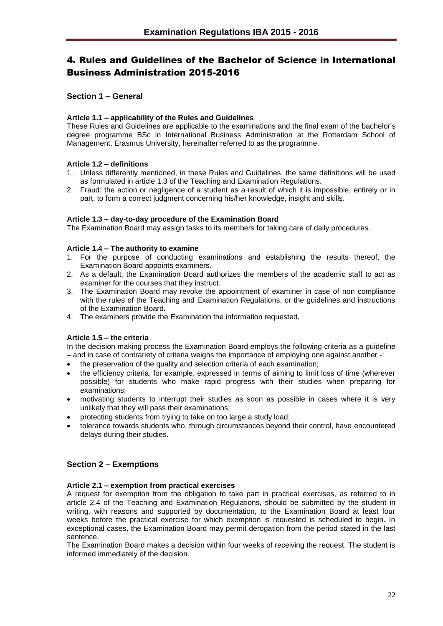# <span id="page-21-0"></span>4. Rules and Guidelines of the Bachelor of Science in International Business Administration 2015-2016

## <span id="page-21-1"></span>**Section 1 – General**

## <span id="page-21-2"></span>**Article 1.1 – applicability of the Rules and Guidelines**

These Rules and Guidelines are applicable to the examinations and the final exam of the bachelor's degree programme BSc in International Business Administration at the Rotterdam School of Management, Erasmus University, hereinafter referred to as the programme.

## <span id="page-21-3"></span>**Article 1.2 – definitions**

- 1. Unless differently mentioned, in these Rules and Guidelines, the same definitions will be used as formulated in article 1.3 of the Teaching and Examination Regulations.
- 2. Fraud: the action or negligence of a student as a result of which it is impossible, entirely or in part, to form a correct judgment concerning his/her knowledge, insight and skills.

#### <span id="page-21-4"></span>**Article 1.3 – day-to-day procedure of the Examination Board**

The Examination Board may assign tasks to its members for taking care of daily procedures.

#### <span id="page-21-5"></span>**Article 1.4 – The authority to examine**

- 1. For the purpose of conducting examinations and establishing the results thereof, the Examination Board appoints examiners.
- 2. As a default, the Examination Board authorizes the members of the academic staff to act as examiner for the courses that they instruct.
- 3. The Examination Board may revoke the appointment of examiner in case of non compliance with the rules of the Teaching and Examination Regulations, or the guidelines and instructions of the Examination Board.
- 4. The examiners provide the Examination the information requested.

#### <span id="page-21-6"></span>**Article 1.5 – the criteria**

In the decision making process the Examination Board employs the following criteria as a guideline – and in case of contrariety of criteria weighs the importance of employing one against another -:

- the preservation of the quality and selection criteria of each examination;
- the efficiency criteria, for example, expressed in terms of aiming to limit loss of time (wherever possible) for students who make rapid progress with their studies when preparing for examinations;
- motivating students to interrupt their studies as soon as possible in cases where it is very unlikely that they will pass their examinations;
- protecting students from trying to take on too large a study load;
- tolerance towards students who, through circumstances beyond their control, have encountered delays during their studies.

## <span id="page-21-7"></span>**Section 2 – Exemptions**

#### <span id="page-21-8"></span>**Article 2.1 – exemption from practical exercises**

A request for exemption from the obligation to take part in practical exercises, as referred to in article 2.4 of the Teaching and Examination Regulations, should be submitted by the student in writing, with reasons and supported by documentation, to the Examination Board at least four weeks before the practical exercise for which exemption is requested is scheduled to begin. In exceptional cases, the Examination Board may permit derogation from the period stated in the last sentence.

The Examination Board makes a decision within four weeks of receiving the request. The student is informed immediately of the decision.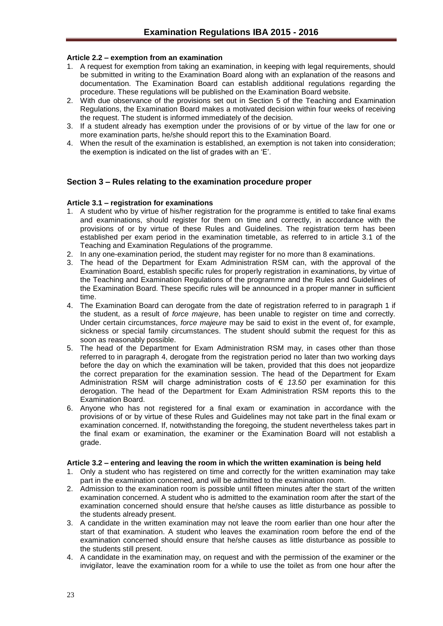#### <span id="page-22-0"></span>**Article 2.2 – exemption from an examination**

- 1. A request for exemption from taking an examination, in keeping with legal requirements, should be submitted in writing to the Examination Board along with an explanation of the reasons and documentation. The Examination Board can establish additional regulations regarding the procedure. These regulations will be published on the Examination Board website.
- 2. With due observance of the provisions set out in Section 5 of the Teaching and Examination Regulations, the Examination Board makes a motivated decision within four weeks of receiving the request. The student is informed immediately of the decision.
- 3. If a student already has exemption under the provisions of or by virtue of the law for one or more examination parts, he/she should report this to the Examination Board.
- 4. When the result of the examination is established, an exemption is not taken into consideration; the exemption is indicated on the list of grades with an 'E'.

#### <span id="page-22-1"></span>**Section 3 – Rules relating to the examination procedure proper**

#### <span id="page-22-2"></span>**Article 3.1 – registration for examinations**

- 1. A student who by virtue of his/her registration for the programme is entitled to take final exams and examinations, should register for them on time and correctly, in accordance with the provisions of or by virtue of these Rules and Guidelines. The registration term has been established per exam period in the examination timetable, as referred to in article 3.1 of the Teaching and Examination Regulations of the programme.
- 2. In any one-examination period, the student may register for no more than 8 examinations.
- 3. The head of the Department for Exam Administration RSM can, with the approval of the Examination Board, establish specific rules for properly registration in examinations, by virtue of the Teaching and Examination Regulations of the programme and the Rules and Guidelines of the Examination Board. These specific rules will be announced in a proper manner in sufficient time.
- 4. The Examination Board can derogate from the date of registration referred to in paragraph 1 if the student, as a result of *force majeure*, has been unable to register on time and correctly. Under certain circumstances, *force majeure* may be said to exist in the event of, for example, sickness or special family circumstances. The student should submit the request for this as soon as reasonably possible.
- 5. The head of the Department for Exam Administration RSM may, in cases other than those referred to in paragraph 4, derogate from the registration period no later than two working days before the day on which the examination will be taken, provided that this does not jeopardize the correct preparation for the examination session. The head of the Department for Exam Administration RSM will charge administration costs of € *13.50* per examination for this derogation. The head of the Department for Exam Administration RSM reports this to the Examination Board.
- 6. Anyone who has not registered for a final exam or examination in accordance with the provisions of or by virtue of these Rules and Guidelines may not take part in the final exam or examination concerned. If, notwithstanding the foregoing, the student nevertheless takes part in the final exam or examination, the examiner or the Examination Board will not establish a grade.

#### <span id="page-22-3"></span>**Article 3.2 – entering and leaving the room in which the written examination is being held**

- 1. Only a student who has registered on time and correctly for the written examination may take part in the examination concerned, and will be admitted to the examination room.
- 2. Admission to the examination room is possible until fifteen minutes after the start of the written examination concerned. A student who is admitted to the examination room after the start of the examination concerned should ensure that he/she causes as little disturbance as possible to the students already present.
- 3. A candidate in the written examination may not leave the room earlier than one hour after the start of that examination. A student who leaves the examination room before the end of the examination concerned should ensure that he/she causes as little disturbance as possible to the students still present.
- 4. A candidate in the examination may, on request and with the permission of the examiner or the invigilator, leave the examination room for a while to use the toilet as from one hour after the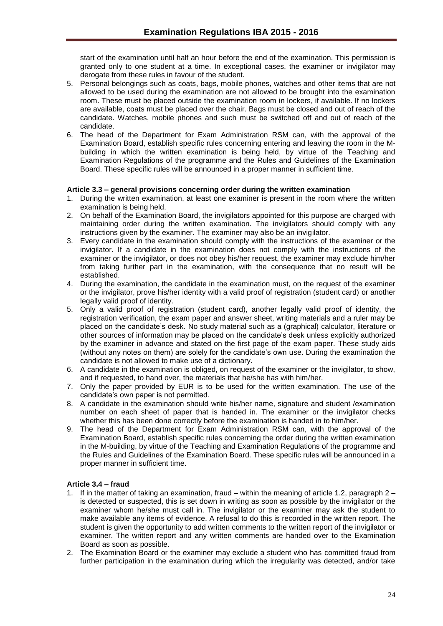start of the examination until half an hour before the end of the examination. This permission is granted only to one student at a time. In exceptional cases, the examiner or invigilator may derogate from these rules in favour of the student.

- 5. Personal belongings such as coats, bags, mobile phones, watches and other items that are not allowed to be used during the examination are not allowed to be brought into the examination room. These must be placed outside the examination room in lockers, if available. If no lockers are available, coats must be placed over the chair. Bags must be closed and out of reach of the candidate. Watches, mobile phones and such must be switched off and out of reach of the candidate.
- 6. The head of the Department for Exam Administration RSM can, with the approval of the Examination Board, establish specific rules concerning entering and leaving the room in the Mbuilding in which the written examination is being held, by virtue of the Teaching and Examination Regulations of the programme and the Rules and Guidelines of the Examination Board. These specific rules will be announced in a proper manner in sufficient time.

#### <span id="page-23-0"></span>**Article 3.3 – general provisions concerning order during the written examination**

- 1. During the written examination, at least one examiner is present in the room where the written examination is being held.
- 2. On behalf of the Examination Board, the invigilators appointed for this purpose are charged with maintaining order during the written examination. The invigilators should comply with any instructions given by the examiner. The examiner may also be an invigilator.
- 3. Every candidate in the examination should comply with the instructions of the examiner or the invigilator. If a candidate in the examination does not comply with the instructions of the examiner or the invigilator, or does not obey his/her request, the examiner may exclude him/her from taking further part in the examination, with the consequence that no result will be established.
- 4. During the examination, the candidate in the examination must, on the request of the examiner or the invigilator, prove his/her identity with a valid proof of registration (student card) or another legally valid proof of identity.
- 5. Only a valid proof of registration (student card), another legally valid proof of identity, the registration verification, the exam paper and answer sheet, writing materials and a ruler may be placed on the candidate's desk. No study material such as a (graphical) calculator, literature or other sources of information may be placed on the candidate's desk unless explicitly authorized by the examiner in advance and stated on the first page of the exam paper. These study aids (without any notes on them) are solely for the candidate's own use. During the examination the candidate is not allowed to make use of a dictionary.
- 6. A candidate in the examination is obliged, on request of the examiner or the invigilator, to show, and if requested, to hand over, the materials that he/she has with him/her.
- 7. Only the paper provided by EUR is to be used for the written examination. The use of the candidate's own paper is not permitted.
- 8. A candidate in the examination should write his/her name, signature and student /examination number on each sheet of paper that is handed in. The examiner or the invigilator checks whether this has been done correctly before the examination is handed in to him/her.
- 9. The head of the Department for Exam Administration RSM can, with the approval of the Examination Board, establish specific rules concerning the order during the written examination in the M-building, by virtue of the Teaching and Examination Regulations of the programme and the Rules and Guidelines of the Examination Board. These specific rules will be announced in a proper manner in sufficient time.

#### <span id="page-23-1"></span>**Article 3.4 – fraud**

- 1. If in the matter of taking an examination, fraud within the meaning of article 1.2, paragraph 2 is detected or suspected, this is set down in writing as soon as possible by the invigilator or the examiner whom he/she must call in. The invigilator or the examiner may ask the student to make available any items of evidence. A refusal to do this is recorded in the written report. The student is given the opportunity to add written comments to the written report of the invigilator or examiner. The written report and any written comments are handed over to the Examination Board as soon as possible.
- 2. The Examination Board or the examiner may exclude a student who has committed fraud from further participation in the examination during which the irregularity was detected, and/or take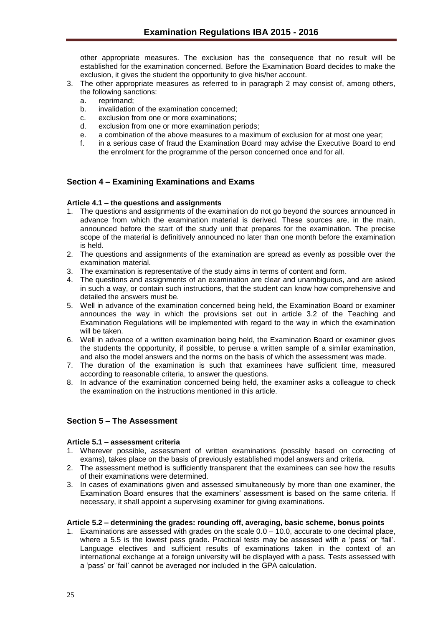other appropriate measures. The exclusion has the consequence that no result will be established for the examination concerned. Before the Examination Board decides to make the exclusion, it gives the student the opportunity to give his/her account.

- 3. The other appropriate measures as referred to in paragraph 2 may consist of, among others, the following sanctions:
	- a. reprimand;
	- b. invalidation of the examination concerned;
	- c. exclusion from one or more examinations;
	- d. exclusion from one or more examination periods;
	- e. a combination of the above measures to a maximum of exclusion for at most one year;
	- f. in a serious case of fraud the Examination Board may advise the Executive Board to end the enrolment for the programme of the person concerned once and for all.

## <span id="page-24-0"></span>**Section 4 – Examining Examinations and Exams**

#### <span id="page-24-1"></span>**Article 4.1 – the questions and assignments**

- 1. The questions and assignments of the examination do not go beyond the sources announced in advance from which the examination material is derived. These sources are, in the main, announced before the start of the study unit that prepares for the examination. The precise scope of the material is definitively announced no later than one month before the examination is held.
- 2. The questions and assignments of the examination are spread as evenly as possible over the examination material.
- 3. The examination is representative of the study aims in terms of content and form.
- 4. The questions and assignments of an examination are clear and unambiguous, and are asked in such a way, or contain such instructions, that the student can know how comprehensive and detailed the answers must be.
- 5. Well in advance of the examination concerned being held, the Examination Board or examiner announces the way in which the provisions set out in article 3.2 of the Teaching and Examination Regulations will be implemented with regard to the way in which the examination will be taken.
- 6. Well in advance of a written examination being held, the Examination Board or examiner gives the students the opportunity, if possible, to peruse a written sample of a similar examination, and also the model answers and the norms on the basis of which the assessment was made.
- 7. The duration of the examination is such that examinees have sufficient time, measured according to reasonable criteria, to answer the questions.
- 8. In advance of the examination concerned being held, the examiner asks a colleague to check the examination on the instructions mentioned in this article.

## <span id="page-24-2"></span>**Section 5 – The Assessment**

#### <span id="page-24-3"></span>**Article 5.1 – assessment criteria**

- 1. Wherever possible, assessment of written examinations (possibly based on correcting of exams), takes place on the basis of previously established model answers and criteria.
- 2. The assessment method is sufficiently transparent that the examinees can see how the results of their examinations were determined.
- 3. In cases of examinations given and assessed simultaneously by more than one examiner, the Examination Board ensures that the examiners' assessment is based on the same criteria. If necessary, it shall appoint a supervising examiner for giving examinations.

#### <span id="page-24-4"></span>**Article 5.2 – determining the grades: rounding off, averaging, basic scheme, bonus points**

1. Examinations are assessed with grades on the scale 0.0 – 10.0, accurate to one decimal place, where a 5.5 is the lowest pass grade. Practical tests may be assessed with a 'pass' or 'fail'. Language electives and sufficient results of examinations taken in the context of an international exchange at a foreign university will be displayed with a pass. Tests assessed with a 'pass' or 'fail' cannot be averaged nor included in the GPA calculation.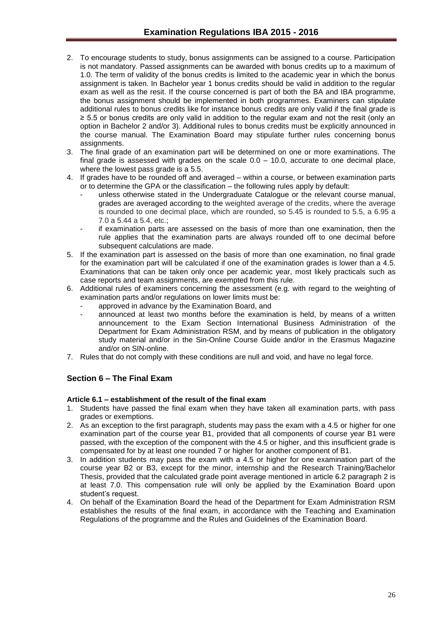- 2. To encourage students to study, bonus assignments can be assigned to a course. Participation is not mandatory. Passed assignments can be awarded with bonus credits up to a maximum of 1.0. The term of validity of the bonus credits is limited to the academic year in which the bonus assignment is taken. In Bachelor year 1 bonus credits should be valid in addition to the regular exam as well as the resit. If the course concerned is part of both the BA and IBA programme, the bonus assignment should be implemented in both programmes. Examiners can stipulate additional rules to bonus credits like for instance bonus credits are only valid if the final grade is ≥ 5.5 or bonus credits are only valid in addition to the regular exam and not the resit (only an option in Bachelor 2 and/or 3). Additional rules to bonus credits must be explicitly announced in the course manual. The Examination Board may stipulate further rules concerning bonus assignments.
- 3. The final grade of an examination part will be determined on one or more examinations. The final grade is assessed with grades on the scale  $0.0 - 10.0$ , accurate to one decimal place, where the lowest pass grade is a 5.5.
- 4. If grades have to be rounded off and averaged within a course, or between examination parts or to determine the GPA or the classification – the following rules apply by default:
	- unless otherwise stated in the Undergraduate Catalogue or the relevant course manual, grades are averaged according to the weighted average of the credits, where the average is rounded to one decimal place, which are rounded, so 5.45 is rounded to 5.5, a 6.95 a 7.0 a 5.44 a 5.4, etc.;
	- if examination parts are assessed on the basis of more than one examination, then the rule applies that the examination parts are always rounded off to one decimal before subsequent calculations are made.
- 5. If the examination part is assessed on the basis of more than one examination, no final grade for the examination part will be calculated if one of the examination grades is lower than a 4.5. Examinations that can be taken only once per academic year, most likely practicals such as case reports and team assignments, are exempted from this rule.
- 6. Additional rules of examiners concerning the assessment (e.g. with regard to the weighting of examination parts and/or regulations on lower limits must be:
	- approved in advance by the Examination Board, and
	- announced at least two months before the examination is held, by means of a written announcement to the Exam Section International Business Administration of the Department for Exam Administration RSM, and by means of publication in the obligatory study material and/or in the Sin-Online Course Guide and/or in the Erasmus Magazine and/or on SIN-online.
- 7. Rules that do not comply with these conditions are null and void, and have no legal force.

## <span id="page-25-0"></span>**Section 6 – The Final Exam**

#### <span id="page-25-1"></span>**Article 6.1 – establishment of the result of the final exam**

- 1. Students have passed the final exam when they have taken all examination parts, with pass grades or exemptions.
- 2. As an exception to the first paragraph, students may pass the exam with a 4.5 or higher for one examination part of the course year B1, provided that all components of course year B1 were passed, with the exception of the component with the 4.5 or higher, and this insufficient grade is compensated for by at least one rounded 7 or higher for another component of B1.
- 3. In addition students may pass the exam with a 4.5 or higher for one examination part of the course year B2 or B3, except for the minor, internship and the Research Training/Bachelor Thesis, provided that the calculated grade point average mentioned in article 6.2 paragraph 2 is at least 7.0. This compensation rule will only be applied by the Examination Board upon student's request.
- 4. On behalf of the Examination Board the head of the Department for Exam Administration RSM establishes the results of the final exam, in accordance with the Teaching and Examination Regulations of the programme and the Rules and Guidelines of the Examination Board.